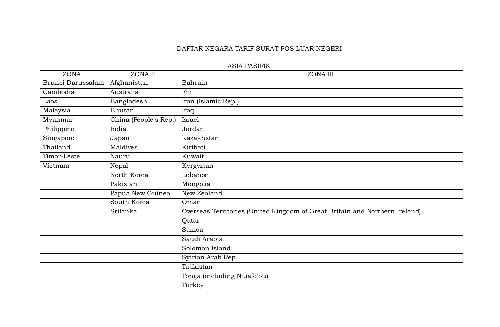## DAFTAR NEGARA TARIF SURAT POS LUAR NEGERI

| <b>ASIA PASIFIK</b> |                       |                                                                                     |  |  |
|---------------------|-----------------------|-------------------------------------------------------------------------------------|--|--|
| ZONA I              | ZONA II               | ZONA III                                                                            |  |  |
| Brunei Darussalam   | Afghanistan           | Bahrain                                                                             |  |  |
| Cambodia            | Australia             | Fiji                                                                                |  |  |
| Laos                | Bangladesh            | Iran (Islamic Rep.)                                                                 |  |  |
| Malaysia            | Bhutan                | Iraq                                                                                |  |  |
| Myanmar             | China (People's Rep.) | Israel                                                                              |  |  |
| Philippine          | India                 | Jordan                                                                              |  |  |
| Singapore           | Japan                 | Kazakhstan                                                                          |  |  |
| Thailand            | Maldives              | Kiribati                                                                            |  |  |
| Timor-Leste         | Nauru                 | Kuwait                                                                              |  |  |
| Vietnam             | Nepal                 | Kyrgyztan                                                                           |  |  |
|                     | North Korea           | Lebanon                                                                             |  |  |
|                     | Pakistan              | Mongolia                                                                            |  |  |
|                     | Papua New Guinea      | New Zealand                                                                         |  |  |
|                     | South Korea           | Oman<br>Overseas Territories (United Kingdom of Great Britain and Northern Ireland) |  |  |
|                     | Srilanka              |                                                                                     |  |  |
|                     | Qatar                 |                                                                                     |  |  |
|                     |                       | Samoa                                                                               |  |  |
|                     |                       | Saudi Arabia                                                                        |  |  |
|                     |                       | Solomon Island                                                                      |  |  |
|                     |                       | Syirian Arab Rep.                                                                   |  |  |
|                     |                       | Tajikistan                                                                          |  |  |
|                     |                       | Tonga (including Niuafo'ou)                                                         |  |  |
|                     |                       | Turkey                                                                              |  |  |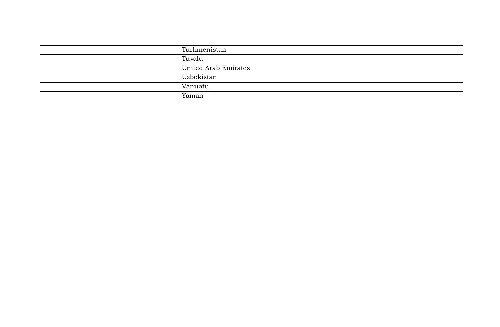| Turkmenistan         |
|----------------------|
| Tuvalu               |
| United Arab Emirates |
| Uzbekistan           |
| Vanuatu              |
| Yaman                |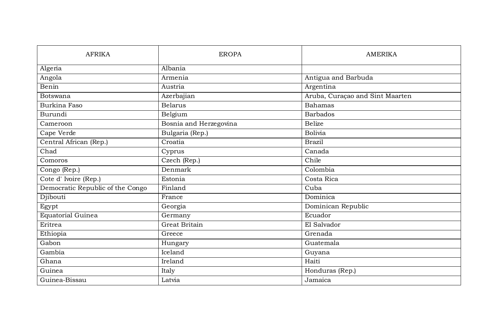| <b>AFRIKA</b>                    | <b>EROPA</b>           | <b>AMERIKA</b>                  |
|----------------------------------|------------------------|---------------------------------|
| Algeria                          | Albania                |                                 |
| Angola                           | Armenia                | Antigua and Barbuda             |
| Benin                            | Austria                | Argentina                       |
| <b>Botswana</b>                  | Azerbajian             | Aruba, Curaçao and Sint Maarten |
| <b>Burkina Faso</b>              | <b>Belarus</b>         | <b>Bahamas</b>                  |
| Burundi                          | Belgium                | <b>Barbados</b>                 |
| Cameroon                         | Bosnia and Herzegovina | <b>Belize</b>                   |
| Cape Verde                       | Bulgaria (Rep.)        | <b>Bolivia</b>                  |
| Central African (Rep.)           | Croatia                | <b>Brazil</b>                   |
| Chad                             | Cyprus                 | Canada                          |
| Comoros                          | Czech (Rep.)           | Chile                           |
| Congo (Rep.)                     | Denmark                | Colombia                        |
| Cote d'Ivoire (Rep.)             | Estonia                | Costa Rica                      |
| Democratic Republic of the Congo | Finland                | Cuba                            |
| Djibouti                         | France                 | Dominica                        |
| Egypt                            | Georgia                | Dominican Republic              |
| <b>Equatorial Guinea</b>         | Germany                | Ecuador                         |
| Eritrea                          | Great Britain          | El Salvador                     |
| Ethiopia                         | Greece                 | Grenada                         |
| Gabon                            | Hungary                | Guatemala                       |
| Gambia                           | Iceland                | Guyana                          |
| Ghana                            | Ireland                | Haiti                           |
| Guinea                           | Italy                  | Honduras (Rep.)                 |
| Guinea-Bissau                    | Latvia                 | Jamaica                         |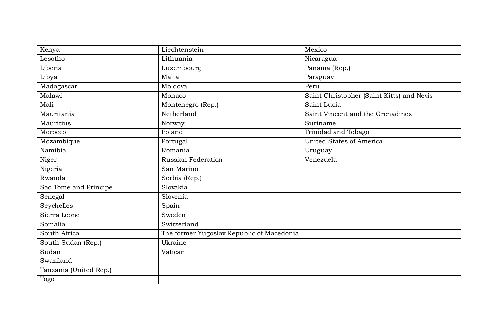| Kenya                  | Liechtenstein                             | Mexico                                    |
|------------------------|-------------------------------------------|-------------------------------------------|
| Lesotho                | Lithuania                                 | Nicaragua                                 |
| Liberia                | Luxembourg                                | Panama (Rep.)                             |
| Libya                  | Malta                                     | Paraguay                                  |
| Madagascar             | Moldova                                   | Peru                                      |
| Malawi                 | Monaco                                    | Saint Christopher (Saint Kitts) and Nevis |
| Mali                   | Montenegro (Rep.)                         | Saint Lucia                               |
| Mauritania             | Netherland                                | Saint Vincent and the Grenadines          |
| Mauritius              | Norway                                    | Suriname                                  |
| Morocco                | Poland                                    | Trinidad and Tobago                       |
| Mozambique             | Portugal                                  | <b>United States of America</b>           |
| Namibia                | Romania                                   | Uruguay                                   |
| Niger                  | Russian Federation                        | Venezuela                                 |
| Nigeria                | San Marino                                |                                           |
| Rwanda                 | Serbia (Rep.)                             |                                           |
| Sao Tome and Principe  | Slovakia                                  |                                           |
| Senegal                | Slovenia                                  |                                           |
| Seychelles             | Spain                                     |                                           |
| Sierra Leone           | Sweden                                    |                                           |
| Somalia                | Switzerland                               |                                           |
| South Africa           | The former Yugoslav Republic of Macedonia |                                           |
| South Sudan (Rep.)     | Ukraine                                   |                                           |
| Sudan                  | Vatican                                   |                                           |
| Swaziland              |                                           |                                           |
| Tanzania (United Rep.) |                                           |                                           |
| Togo                   |                                           |                                           |